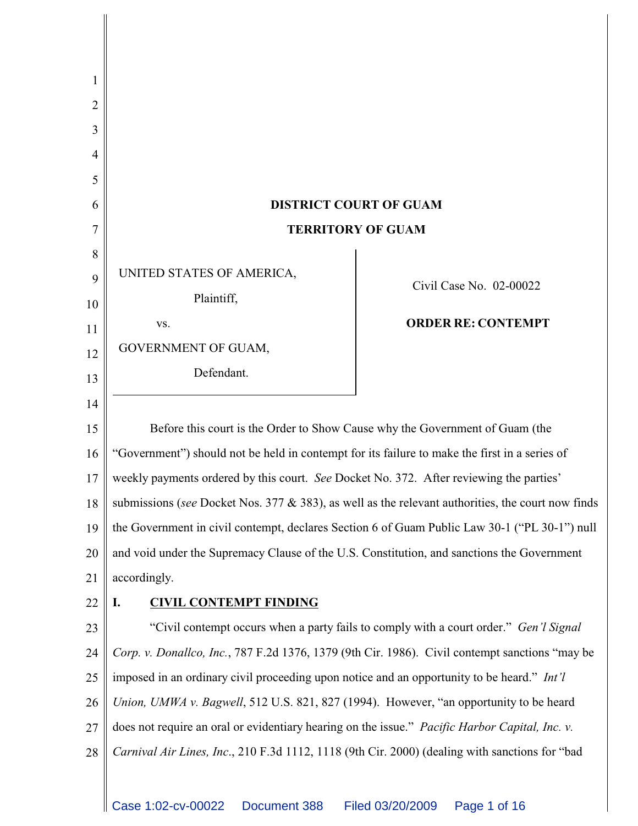| 2            |                                                                                                       |                                                      |  |  |  |
|--------------|-------------------------------------------------------------------------------------------------------|------------------------------------------------------|--|--|--|
| 3            |                                                                                                       |                                                      |  |  |  |
| 4            |                                                                                                       |                                                      |  |  |  |
| 5            |                                                                                                       |                                                      |  |  |  |
| 6            |                                                                                                       | <b>DISTRICT COURT OF GUAM</b>                        |  |  |  |
|              | <b>TERRITORY OF GUAM</b>                                                                              |                                                      |  |  |  |
| 8<br>9<br>10 | UNITED STATES OF AMERICA,<br>Plaintiff,<br>VS.                                                        | Civil Case No. 02-00022<br><b>ORDER RE: CONTEMPT</b> |  |  |  |
| 11           | GOVERNMENT OF GUAM,                                                                                   |                                                      |  |  |  |
| 12           | Defendant.                                                                                            |                                                      |  |  |  |
| 13           |                                                                                                       |                                                      |  |  |  |
| 14           |                                                                                                       |                                                      |  |  |  |
| 15           | Before this court is the Order to Show Cause why the Government of Guam (the                          |                                                      |  |  |  |
| 16           | "Government") should not be held in contempt for its failure to make the first in a series of         |                                                      |  |  |  |
| 17           | weekly payments ordered by this court. See Docket No. 372. After reviewing the parties'               |                                                      |  |  |  |
| 18           | submissions (see Docket Nos. 377 $\&$ 383), as well as the relevant authorities, the court now finds  |                                                      |  |  |  |
| 19           | the Government in civil contempt, declares Section 6 of Guam Public Law 30-1 ("PL 30-1") null         |                                                      |  |  |  |
| 20           | and void under the Supremacy Clause of the U.S. Constitution, and sanctions the Government            |                                                      |  |  |  |
| 21           | accordingly.                                                                                          |                                                      |  |  |  |
| 22           | <b>CIVIL CONTEMPT FINDING</b><br>I.                                                                   |                                                      |  |  |  |
| 23           | "Civil contempt occurs when a party fails to comply with a court order." <i>Gen'l Signal</i>          |                                                      |  |  |  |
| 24           | Corp. v. Donallco, Inc., 787 F.2d 1376, 1379 (9th Cir. 1986). Civil contempt sanctions "may be        |                                                      |  |  |  |
| 25           | imposed in an ordinary civil proceeding upon notice and an opportunity to be heard." Int'l            |                                                      |  |  |  |
| 26           | Union, UMWA v. Bagwell, 512 U.S. 821, 827 (1994). However, "an opportunity to be heard                |                                                      |  |  |  |
| 27           | does not require an oral or evidentiary hearing on the issue." <i>Pacific Harbor Capital, Inc. v.</i> |                                                      |  |  |  |
| 28           | Carnival Air Lines, Inc., 210 F.3d 1112, 1118 (9th Cir. 2000) (dealing with sanctions for "bad        |                                                      |  |  |  |
|              |                                                                                                       |                                                      |  |  |  |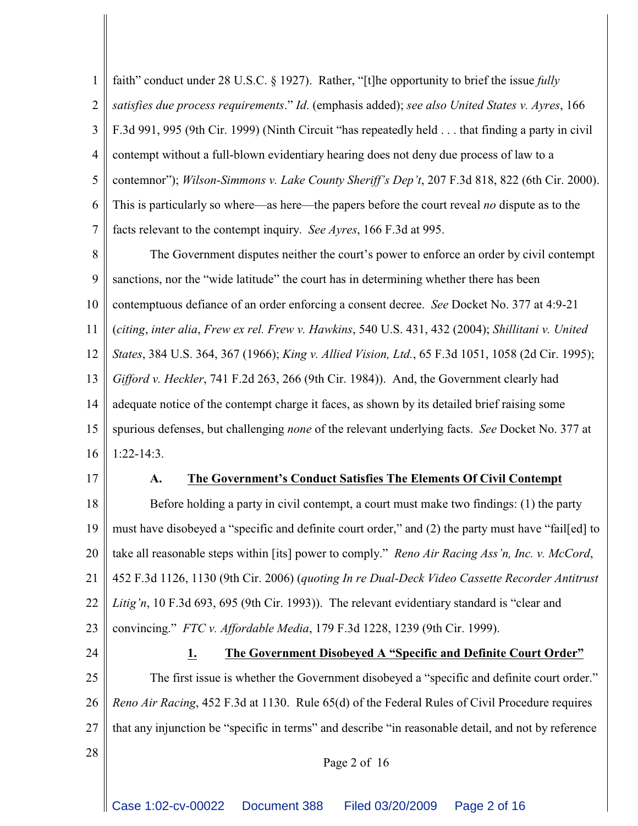1 2 3 4 5 6 7 faith" conduct under 28 U.S.C. § 1927). Rather, "[t]he opportunity to brief the issue *fully satisfies due process requirements*." *Id*. (emphasis added); *see also United States v. Ayres*, 166 F.3d 991, 995 (9th Cir. 1999) (Ninth Circuit "has repeatedly held . . . that finding a party in civil contempt without a full-blown evidentiary hearing does not deny due process of law to a contemnor"); *Wilson-Simmons v. Lake County Sheriff's Dep't*, 207 F.3d 818, 822 (6th Cir. 2000). This is particularly so where—as here—the papers before the court reveal *no* dispute as to the facts relevant to the contempt inquiry. *See Ayres*, 166 F.3d at 995.

8 9 10 11 12 13 14 15 16 The Government disputes neither the court's power to enforce an order by civil contempt sanctions, nor the "wide latitude" the court has in determining whether there has been contemptuous defiance of an order enforcing a consent decree. *See* Docket No. 377 at 4:9-21 (*citing*, *inter alia*, *Frew ex rel. Frew v. Hawkins*, 540 U.S. 431, 432 (2004); *Shillitani v. United States*, 384 U.S. 364, 367 (1966); *King v. Allied Vision, Ltd.*, 65 F.3d 1051, 1058 (2d Cir. 1995); *Gifford v. Heckler*, 741 F.2d 263, 266 (9th Cir. 1984)). And, the Government clearly had adequate notice of the contempt charge it faces, as shown by its detailed brief raising some spurious defenses, but challenging *none* of the relevant underlying facts. *See* Docket No. 377 at 1:22-14:3.

17

#### **A. The Government's Conduct Satisfies The Elements Of Civil Contempt**

18 19 20 21 22 23 Before holding a party in civil contempt, a court must make two findings: (1) the party must have disobeyed a "specific and definite court order," and (2) the party must have "fail[ed] to take all reasonable steps within [its] power to comply." *Reno Air Racing Ass'n, Inc. v. McCord*, 452 F.3d 1126, 1130 (9th Cir. 2006) (*quoting In re Dual-Deck Video Cassette Recorder Antitrust Litig'n*, 10 F.3d 693, 695 (9th Cir. 1993)). The relevant evidentiary standard is "clear and convincing." *FTC v. Affordable Media*, 179 F.3d 1228, 1239 (9th Cir. 1999).

24 25 26 27 28 **1. The Government Disobeyed A "Specific and Definite Court Order"** The first issue is whether the Government disobeyed a "specific and definite court order." *Reno Air Racing*, 452 F.3d at 1130. Rule 65(d) of the Federal Rules of Civil Procedure requires that any injunction be "specific in terms" and describe "in reasonable detail, and not by reference

Page 2 of 16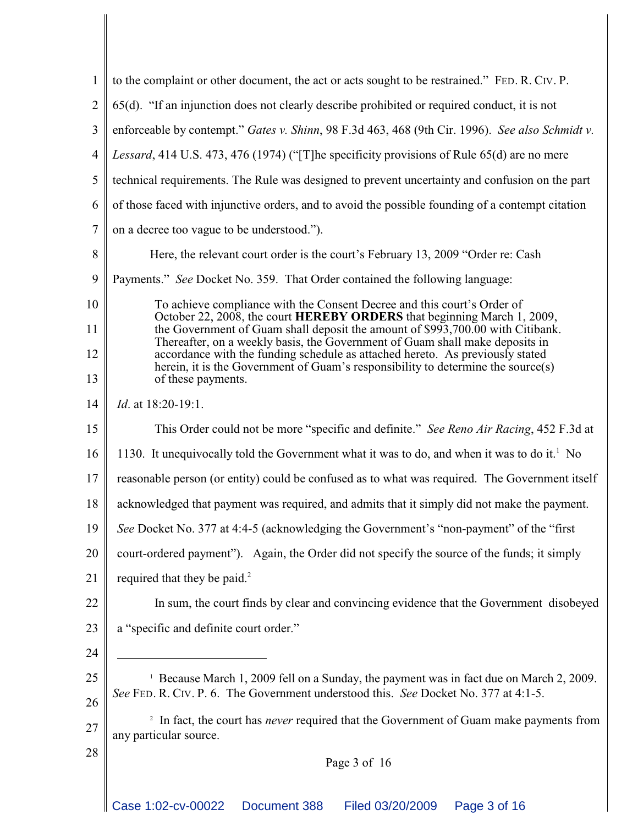| $\mathbf{1}$   | to the complaint or other document, the act or acts sought to be restrained." FED. R. CIV. P.                                                                                                                                                     |  |  |  |  |
|----------------|---------------------------------------------------------------------------------------------------------------------------------------------------------------------------------------------------------------------------------------------------|--|--|--|--|
| $\overline{2}$ | 65(d). "If an injunction does not clearly describe prohibited or required conduct, it is not                                                                                                                                                      |  |  |  |  |
| 3              | enforceable by contempt." Gates v. Shinn, 98 F.3d 463, 468 (9th Cir. 1996). See also Schmidt v.                                                                                                                                                   |  |  |  |  |
| $\overline{4}$ | Lessard, 414 U.S. 473, 476 (1974) ("[T] he specificity provisions of Rule 65(d) are no mere                                                                                                                                                       |  |  |  |  |
| 5              | technical requirements. The Rule was designed to prevent uncertainty and confusion on the part                                                                                                                                                    |  |  |  |  |
| 6              | of those faced with injunctive orders, and to avoid the possible founding of a contempt citation                                                                                                                                                  |  |  |  |  |
| $\overline{7}$ | on a decree too vague to be understood.").                                                                                                                                                                                                        |  |  |  |  |
| 8              | Here, the relevant court order is the court's February 13, 2009 "Order re: Cash                                                                                                                                                                   |  |  |  |  |
| 9              | Payments." See Docket No. 359. That Order contained the following language:                                                                                                                                                                       |  |  |  |  |
| 10             | To achieve compliance with the Consent Decree and this court's Order of                                                                                                                                                                           |  |  |  |  |
| 11             | October 22, 2008, the court HEREBY ORDERS that beginning March 1, 2009,<br>the Government of Guam shall deposit the amount of \$993,700.00 with Citibank.                                                                                         |  |  |  |  |
| 12             | Thereafter, on a weekly basis, the Government of Guam shall make deposits in<br>accordance with the funding schedule as attached hereto. As previously stated<br>herein, it is the Government of Guam's responsibility to determine the source(s) |  |  |  |  |
| 13             | of these payments.                                                                                                                                                                                                                                |  |  |  |  |
| 14             | <i>Id.</i> at 18:20-19:1.                                                                                                                                                                                                                         |  |  |  |  |
| 15             | This Order could not be more "specific and definite." See Reno Air Racing, 452 F.3d at                                                                                                                                                            |  |  |  |  |
| 16             | 1130. It unequivocally told the Government what it was to do, and when it was to do it. <sup>1</sup> No                                                                                                                                           |  |  |  |  |
| 17             | reasonable person (or entity) could be confused as to what was required. The Government itself                                                                                                                                                    |  |  |  |  |
| 18             | acknowledged that payment was required, and admits that it simply did not make the payment.                                                                                                                                                       |  |  |  |  |
| 19             | See Docket No. 377 at 4:4-5 (acknowledging the Government's "non-payment" of the "first                                                                                                                                                           |  |  |  |  |
| 20             | court-ordered payment"). Again, the Order did not specify the source of the funds; it simply                                                                                                                                                      |  |  |  |  |
| 21             | required that they be paid. <sup>2</sup>                                                                                                                                                                                                          |  |  |  |  |
| 22             | In sum, the court finds by clear and convincing evidence that the Government disobeyed                                                                                                                                                            |  |  |  |  |
| 23             | a "specific and definite court order."                                                                                                                                                                                                            |  |  |  |  |
| 24             |                                                                                                                                                                                                                                                   |  |  |  |  |
| 25             | <sup>1</sup> Because March 1, 2009 fell on a Sunday, the payment was in fact due on March 2, 2009.                                                                                                                                                |  |  |  |  |
| 26             | See FED. R. CIV. P. 6. The Government understood this. See Docket No. 377 at 4:1-5.                                                                                                                                                               |  |  |  |  |
| 27             | <sup>2</sup> In fact, the court has <i>never</i> required that the Government of Guam make payments from<br>any particular source.                                                                                                                |  |  |  |  |
| 28             | Page 3 of 16                                                                                                                                                                                                                                      |  |  |  |  |
|                |                                                                                                                                                                                                                                                   |  |  |  |  |
|                |                                                                                                                                                                                                                                                   |  |  |  |  |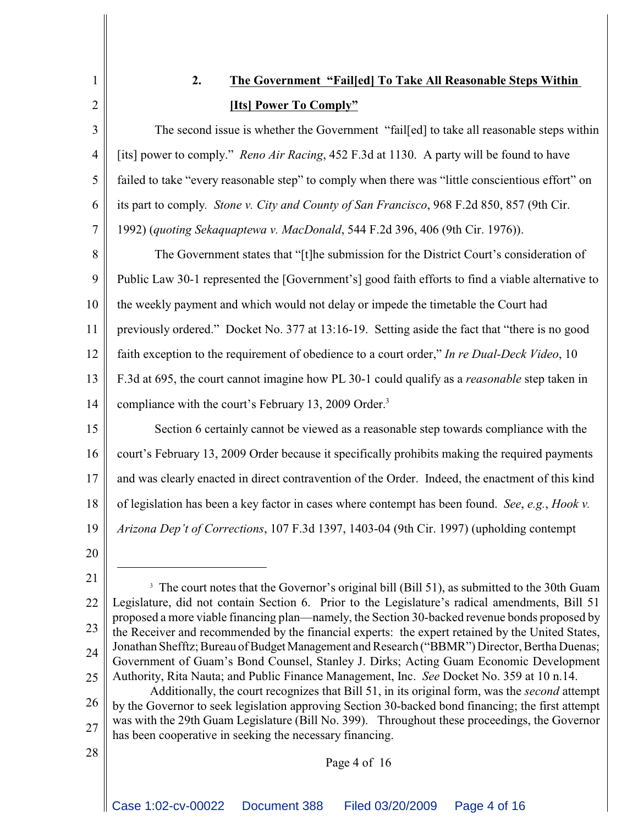1

2

3

4

5

6

7

# **2. The Government "Fail[ed] To Take All Reasonable Steps Within [Its] Power To Comply"**

The second issue is whether the Government "fail[ed] to take all reasonable steps within [its] power to comply." *Reno Air Racing*, 452 F.3d at 1130. A party will be found to have failed to take "every reasonable step" to comply when there was "little conscientious effort" on its part to comply*. Stone v. City and County of San Francisco*, 968 F.2d 850, 857 (9th Cir. 1992) (*quoting Sekaquaptewa v. MacDonald*, 544 F.2d 396, 406 (9th Cir. 1976)).

8 9 10 11 12 13 14 The Government states that "[t]he submission for the District Court's consideration of Public Law 30-1 represented the [Government's] good faith efforts to find a viable alternative to the weekly payment and which would not delay or impede the timetable the Court had previously ordered." Docket No. 377 at 13:16-19. Setting aside the fact that "there is no good faith exception to the requirement of obedience to a court order," *In re Dual-Deck Video*, 10 F.3d at 695, the court cannot imagine how PL 30-1 could qualify as a *reasonable* step taken in compliance with the court's February 13, 2009 Order.<sup>3</sup>

15 16 17 18 19 Section 6 certainly cannot be viewed as a reasonable step towards compliance with the court's February 13, 2009 Order because it specifically prohibits making the required payments and was clearly enacted in direct contravention of the Order. Indeed, the enactment of this kind of legislation has been a key factor in cases where contempt has been found. *See*, *e.g.*, *Hook v. Arizona Dep't of Corrections*, 107 F.3d 1397, 1403-04 (9th Cir. 1997) (upholding contempt

20

28

- 21 22 23 24 25 <sup>3</sup> The court notes that the Governor's original bill (Bill 51), as submitted to the 30th Guam Legislature, did not contain Section 6. Prior to the Legislature's radical amendments, Bill 51 proposed a more viable financing plan—namely, the Section 30-backed revenue bonds proposed by the Receiver and recommended by the financial experts: the expert retained by the United States, Jonathan Shefftz; Bureau of Budget Management and Research ("BBMR") Director, Bertha Duenas; Government of Guam's Bond Counsel, Stanley J. Dirks; Acting Guam Economic Development Authority, Rita Nauta; and Public Finance Management, Inc. *See* Docket No. 359 at 10 n.14.
- 26 27 Additionally, the court recognizes that Bill 51, in its original form, was the *second* attempt by the Governor to seek legislation approving Section 30-backed bond financing; the first attempt was with the 29th Guam Legislature (Bill No. 399). Throughout these proceedings, the Governor has been cooperative in seeking the necessary financing.

# Page 4 of 16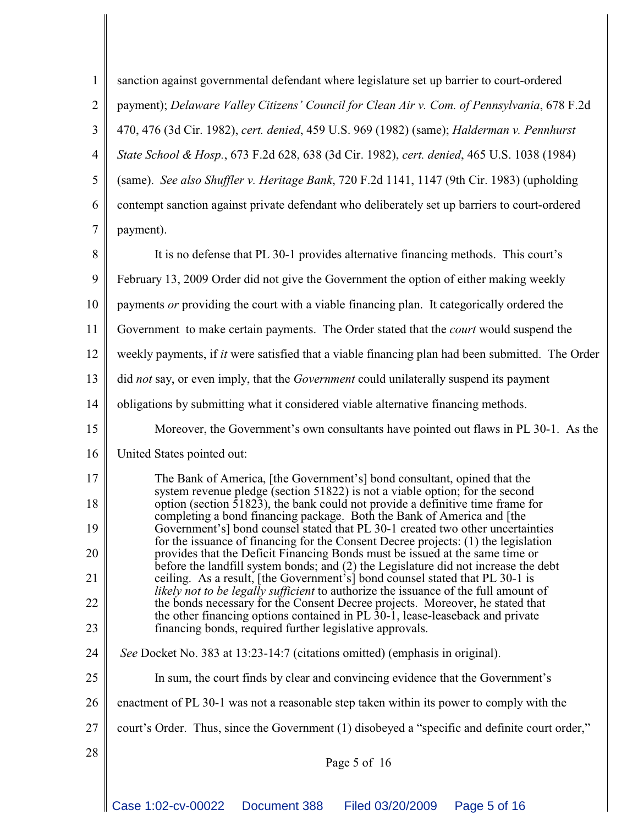| $\mathbf{1}$   | sanction against governmental defendant where legislature set up barrier to court-ordered                                                                                                                                                                  |  |  |  |  |
|----------------|------------------------------------------------------------------------------------------------------------------------------------------------------------------------------------------------------------------------------------------------------------|--|--|--|--|
| $\overline{2}$ | payment); Delaware Valley Citizens' Council for Clean Air v. Com. of Pennsylvania, 678 F.2d                                                                                                                                                                |  |  |  |  |
| 3              | 470, 476 (3d Cir. 1982), cert. denied, 459 U.S. 969 (1982) (same); Halderman v. Pennhurst                                                                                                                                                                  |  |  |  |  |
| 4              | State School & Hosp., 673 F.2d 628, 638 (3d Cir. 1982), cert. denied, 465 U.S. 1038 (1984)                                                                                                                                                                 |  |  |  |  |
| 5              | (same). See also Shuffler v. Heritage Bank, 720 F.2d 1141, 1147 (9th Cir. 1983) (upholding                                                                                                                                                                 |  |  |  |  |
| 6              | contempt sanction against private defendant who deliberately set up barriers to court-ordered                                                                                                                                                              |  |  |  |  |
| 7              | payment).                                                                                                                                                                                                                                                  |  |  |  |  |
| 8              | It is no defense that PL 30-1 provides alternative financing methods. This court's                                                                                                                                                                         |  |  |  |  |
| 9              | February 13, 2009 Order did not give the Government the option of either making weekly                                                                                                                                                                     |  |  |  |  |
| 10             | payments or providing the court with a viable financing plan. It categorically ordered the                                                                                                                                                                 |  |  |  |  |
| 11             | Government to make certain payments. The Order stated that the <i>court</i> would suspend the                                                                                                                                                              |  |  |  |  |
| 12             | weekly payments, if <i>it</i> were satisfied that a viable financing plan had been submitted. The Order                                                                                                                                                    |  |  |  |  |
| 13             | did not say, or even imply, that the <i>Government</i> could unilaterally suspend its payment                                                                                                                                                              |  |  |  |  |
| 14             | obligations by submitting what it considered viable alternative financing methods.                                                                                                                                                                         |  |  |  |  |
| 15             | Moreover, the Government's own consultants have pointed out flaws in PL 30-1. As the                                                                                                                                                                       |  |  |  |  |
| 16             | United States pointed out:                                                                                                                                                                                                                                 |  |  |  |  |
| 17             | The Bank of America, [the Government's] bond consultant, opined that the<br>system revenue pledge (section 51822) is not a viable option; for the second                                                                                                   |  |  |  |  |
| 18             | option (section $\overline{51823}$ ), the bank could not provide a definitive time frame for<br>completing a bond financing package. Both the Bank of America and [the                                                                                     |  |  |  |  |
| 19             | Government's] bond counsel stated that PL 30-1 created two other uncertainties<br>for the issuance of financing for the Consent Decree projects: (1) the legislation<br>provides that the Deficit Financing Bonds must be issued at the same time or       |  |  |  |  |
| 20             |                                                                                                                                                                                                                                                            |  |  |  |  |
| 21             | before the landfill system bonds; and (2) the Legislature did not increase the debt<br>ceiling. As a result, [the Government's] bond counsel stated that PL 30-1 is<br>likely not to be legally sufficient to authorize the issuance of the full amount of |  |  |  |  |
| 22             | the bonds necessary for the Consent Decree projects. Moreover, he stated that<br>the other financing options contained in PL 30-1, lease-leaseback and private                                                                                             |  |  |  |  |
| 23             | financing bonds, required further legislative approvals.                                                                                                                                                                                                   |  |  |  |  |
| 24             | See Docket No. 383 at 13:23-14:7 (citations omitted) (emphasis in original).                                                                                                                                                                               |  |  |  |  |
| 25             | In sum, the court finds by clear and convincing evidence that the Government's                                                                                                                                                                             |  |  |  |  |
| 26             | enactment of PL 30-1 was not a reasonable step taken within its power to comply with the                                                                                                                                                                   |  |  |  |  |
| 27             | court's Order. Thus, since the Government (1) disobeyed a "specific and definite court order,"                                                                                                                                                             |  |  |  |  |
| 28             | Page 5 of 16                                                                                                                                                                                                                                               |  |  |  |  |
|                |                                                                                                                                                                                                                                                            |  |  |  |  |
|                | Case 1:02-cv-00022<br>Document 388<br>Filed 03/20/2009<br>Page 5 of 16                                                                                                                                                                                     |  |  |  |  |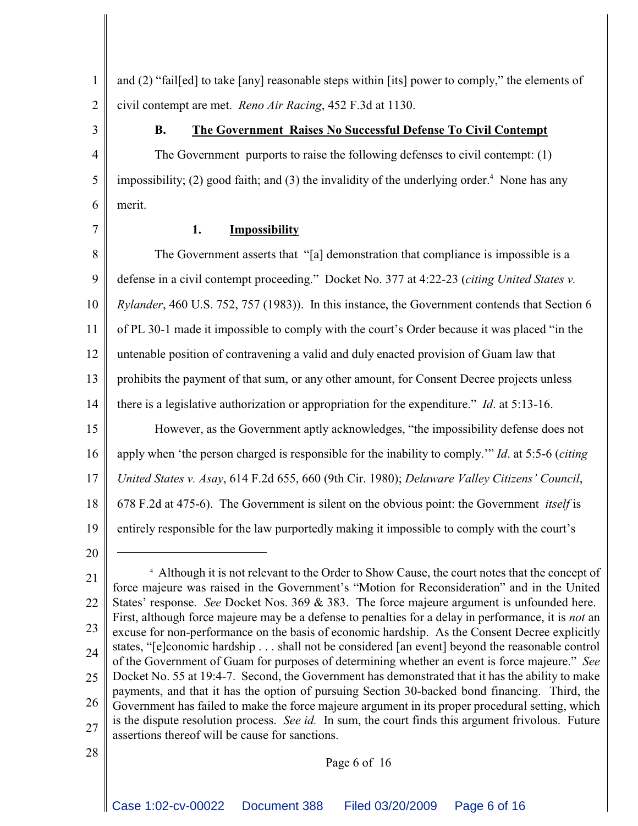and (2) "fail[ed] to take [any] reasonable steps within [its] power to comply," the elements of civil contempt are met. *Reno Air Racing*, 452 F.3d at 1130.

3

4

5

6

1

2

#### **B. The Government Raises No Successful Defense To Civil Contempt**

The Government purports to raise the following defenses to civil contempt: (1) impossibility; (2) good faith; and (3) the invalidity of the underlying order.<sup>4</sup> None has any merit.

7

# **1. Impossibility**

8 9 10 11 12 13 14 15 16 17 18 19 The Government asserts that "[a] demonstration that compliance is impossible is a defense in a civil contempt proceeding." Docket No. 377 at 4:22-23 (*citing United States v. Rylander*, 460 U.S. 752, 757 (1983)). In this instance, the Government contends that Section 6 of PL 30-1 made it impossible to comply with the court's Order because it was placed "in the untenable position of contravening a valid and duly enacted provision of Guam law that prohibits the payment of that sum, or any other amount, for Consent Decree projects unless there is a legislative authorization or appropriation for the expenditure." *Id*. at 5:13-16. However, as the Government aptly acknowledges, "the impossibility defense does not apply when 'the person charged is responsible for the inability to comply.'" *Id*. at 5:5-6 (*citing United States v. Asay*, 614 F.2d 655, 660 (9th Cir. 1980); *Delaware Valley Citizens' Council*, 678 F.2d at 475-6). The Government is silent on the obvious point: the Government *itself* is entirely responsible for the law purportedly making it impossible to comply with the court's

20

<sup>21</sup> 22 23 24 25 26 27 28 <sup>4</sup> Although it is not relevant to the Order to Show Cause, the court notes that the concept of force majeure was raised in the Government's "Motion for Reconsideration" and in the United States' response. *See* Docket Nos. 369 & 383. The force majeure argument is unfounded here. First, although force majeure may be a defense to penalties for a delay in performance, it is *not* an excuse for non-performance on the basis of economic hardship. As the Consent Decree explicitly states, "[e]conomic hardship . . . shall not be considered [an event] beyond the reasonable control of the Government of Guam for purposes of determining whether an event is force majeure." *See* Docket No. 55 at 19:4-7. Second, the Government has demonstrated that it has the ability to make payments, and that it has the option of pursuing Section 30-backed bond financing. Third, the Government has failed to make the force majeure argument in its proper procedural setting, which is the dispute resolution process. *See id.* In sum, the court finds this argument frivolous. Future assertions thereof will be cause for sanctions.

Page 6 of 16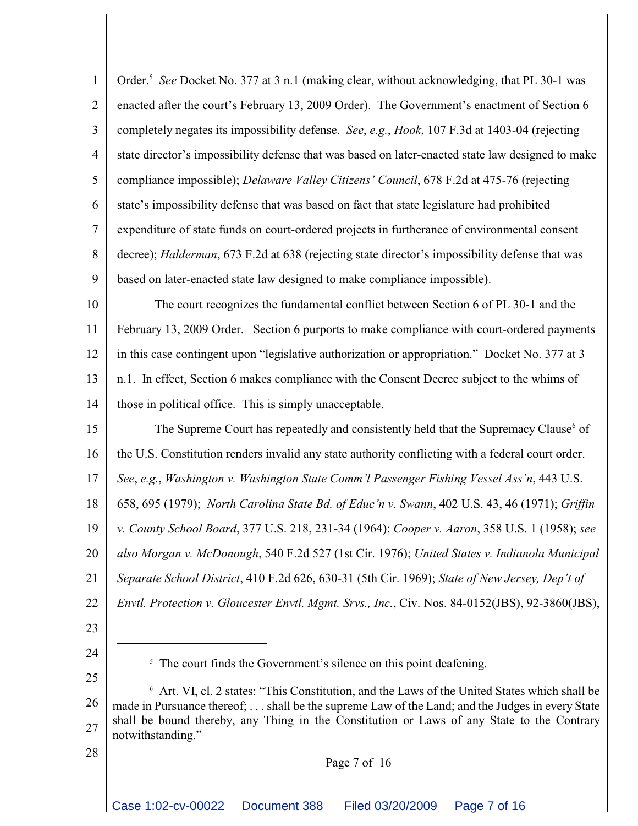1 2 3 4 5 6 7 8 9 Order.<sup>5</sup> See Docket No. 377 at 3 n.1 (making clear, without acknowledging, that PL 30-1 was enacted after the court's February 13, 2009 Order). The Government's enactment of Section 6 completely negates its impossibility defense. *See*, *e.g.*, *Hook*, 107 F.3d at 1403-04 (rejecting state director's impossibility defense that was based on later-enacted state law designed to make compliance impossible); *Delaware Valley Citizens' Council*, 678 F.2d at 475-76 (rejecting state's impossibility defense that was based on fact that state legislature had prohibited expenditure of state funds on court-ordered projects in furtherance of environmental consent decree); *Halderman*, 673 F.2d at 638 (rejecting state director's impossibility defense that was based on later-enacted state law designed to make compliance impossible).

10 11 12 13 14 The court recognizes the fundamental conflict between Section 6 of PL 30-1 and the February 13, 2009 Order. Section 6 purports to make compliance with court-ordered payments in this case contingent upon "legislative authorization or appropriation." Docket No. 377 at 3 n.1. In effect, Section 6 makes compliance with the Consent Decree subject to the whims of those in political office. This is simply unacceptable.

15 16 17 18 19 20 21 22 The Supreme Court has repeatedly and consistently held that the Supremacy Clause<sup>6</sup> of the U.S. Constitution renders invalid any state authority conflicting with a federal court order. *See*, *e.g.*, *Washington v. Washington State Comm'l Passenger Fishing Vessel Ass'n*, 443 U.S. 658, 695 (1979); *North Carolina State Bd. of Educ'n v. Swann*, 402 U.S. 43, 46 (1971); *Griffin v. County School Board*, 377 U.S. 218, 231-34 (1964); *Cooper v. Aaron*, 358 U.S. 1 (1958); *see also Morgan v. McDonough*, 540 F.2d 527 (1st Cir. 1976); *United States v. Indianola Municipal Separate School District*, 410 F.2d 626, 630-31 (5th Cir. 1969); *State of New Jersey, Dep't of Envtl. Protection v. Gloucester Envtl. Mgmt. Srvs., Inc.*, Civ. Nos. 84-0152(JBS), 92-3860(JBS),

- 23
- 24 25

28

Page 7 of 16

 $<sup>5</sup>$  The court finds the Government's silence on this point deafening.</sup>

<sup>26</sup> 27  $\delta$  Art. VI, cl. 2 states: "This Constitution, and the Laws of the United States which shall be made in Pursuance thereof; . . . shall be the supreme Law of the Land; and the Judges in every State shall be bound thereby, any Thing in the Constitution or Laws of any State to the Contrary notwithstanding."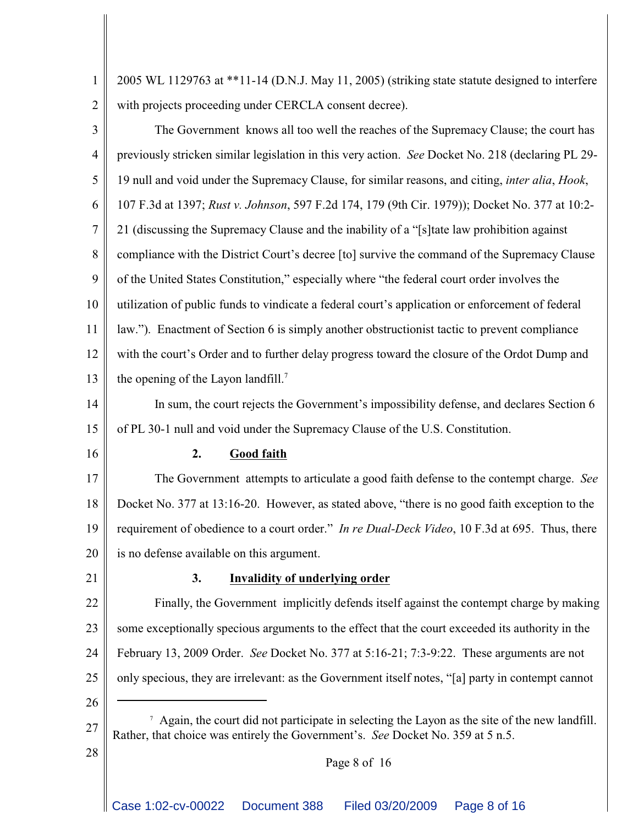1 2 2005 WL 1129763 at \*\*11-14 (D.N.J. May 11, 2005) (striking state statute designed to interfere with projects proceeding under CERCLA consent decree).

3 4 5 6 7 8 9 10 11 12 13 The Government knows all too well the reaches of the Supremacy Clause; the court has previously stricken similar legislation in this very action. *See* Docket No. 218 (declaring PL 29- 19 null and void under the Supremacy Clause, for similar reasons, and citing, *inter alia*, *Hook*, 107 F.3d at 1397; *Rust v. Johnson*, 597 F.2d 174, 179 (9th Cir. 1979)); Docket No. 377 at 10:2- 21 (discussing the Supremacy Clause and the inability of a "[s]tate law prohibition against compliance with the District Court's decree [to] survive the command of the Supremacy Clause of the United States Constitution," especially where "the federal court order involves the utilization of public funds to vindicate a federal court's application or enforcement of federal law."). Enactment of Section 6 is simply another obstructionist tactic to prevent compliance with the court's Order and to further delay progress toward the closure of the Ordot Dump and the opening of the Layon landfill.<sup>7</sup>

14 15 In sum, the court rejects the Government's impossibility defense, and declares Section 6 of PL 30-1 null and void under the Supremacy Clause of the U.S. Constitution.

16

#### **2. Good faith**

17 18 19 20 The Government attempts to articulate a good faith defense to the contempt charge. *See* Docket No. 377 at 13:16-20. However, as stated above, "there is no good faith exception to the requirement of obedience to a court order." *In re Dual-Deck Video*, 10 F.3d at 695. Thus, there is no defense available on this argument.

21

#### **3. Invalidity of underlying order**

22 23 24 25 Finally, the Government implicitly defends itself against the contempt charge by making some exceptionally specious arguments to the effect that the court exceeded its authority in the February 13, 2009 Order. *See* Docket No. 377 at 5:16-21; 7:3-9:22. These arguments are not only specious, they are irrelevant: as the Government itself notes, "[a] party in contempt cannot

26 27

28

 $\alpha$  Again, the court did not participate in selecting the Layon as the site of the new landfill. Rather, that choice was entirely the Government's. *See* Docket No. 359 at 5 n.5.

#### Page 8 of 16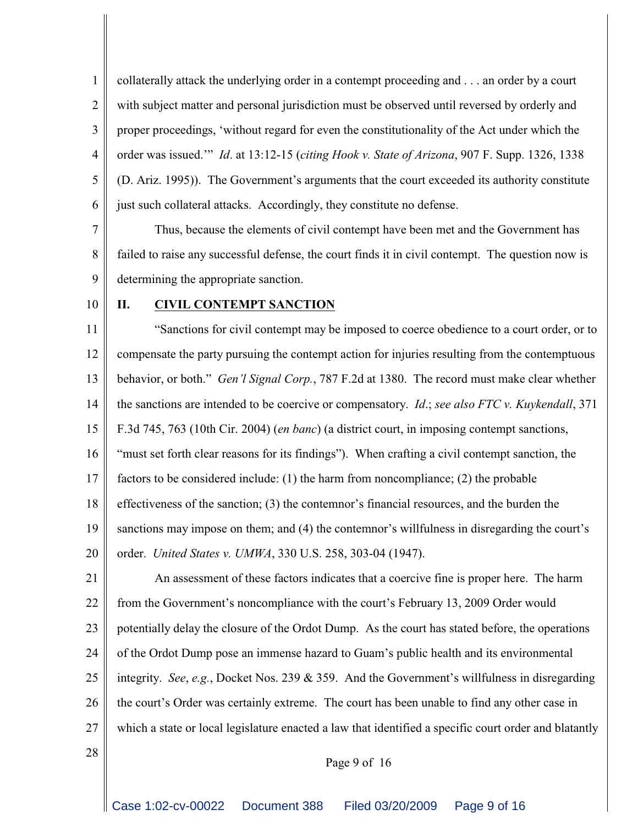1 2 3 4 5 6 collaterally attack the underlying order in a contempt proceeding and . . . an order by a court with subject matter and personal jurisdiction must be observed until reversed by orderly and proper proceedings, 'without regard for even the constitutionality of the Act under which the order was issued.'" *Id*. at 13:12-15 (*citing Hook v. State of Arizona*, 907 F. Supp. 1326, 1338 (D. Ariz. 1995)). The Government's arguments that the court exceeded its authority constitute just such collateral attacks. Accordingly, they constitute no defense.

7 8 9 Thus, because the elements of civil contempt have been met and the Government has failed to raise any successful defense, the court finds it in civil contempt. The question now is determining the appropriate sanction.

10

#### **II. CIVIL CONTEMPT SANCTION**

11 12 13 14 15 16 17 18 19 20 "Sanctions for civil contempt may be imposed to coerce obedience to a court order, or to compensate the party pursuing the contempt action for injuries resulting from the contemptuous behavior, or both." *Gen'l Signal Corp.*, 787 F.2d at 1380. The record must make clear whether the sanctions are intended to be coercive or compensatory. *Id*.; *see also FTC v. Kuykendall*, 371 F.3d 745, 763 (10th Cir. 2004) (*en banc*) (a district court, in imposing contempt sanctions, "must set forth clear reasons for its findings"). When crafting a civil contempt sanction, the factors to be considered include: (1) the harm from noncompliance; (2) the probable effectiveness of the sanction; (3) the contemnor's financial resources, and the burden the sanctions may impose on them; and (4) the contemnor's willfulness in disregarding the court's order. *United States v. UMWA*, 330 U.S. 258, 303-04 (1947).

21 22 23 24 25 26 27 An assessment of these factors indicates that a coercive fine is proper here. The harm from the Government's noncompliance with the court's February 13, 2009 Order would potentially delay the closure of the Ordot Dump. As the court has stated before, the operations of the Ordot Dump pose an immense hazard to Guam's public health and its environmental integrity. *See*, *e.g.*, Docket Nos. 239 & 359. And the Government's willfulness in disregarding the court's Order was certainly extreme. The court has been unable to find any other case in which a state or local legislature enacted a law that identified a specific court order and blatantly

28

# Page 9 of 16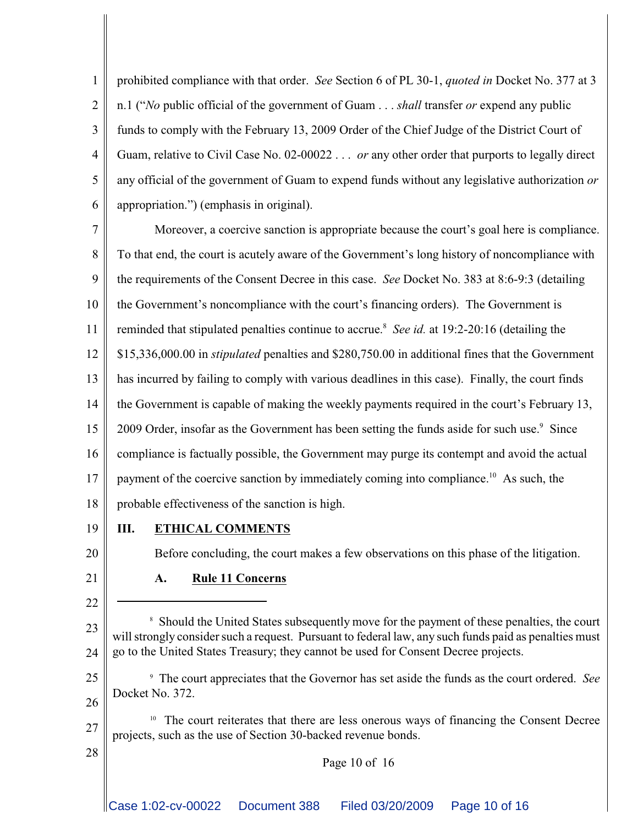1 2 3 4 5 6 prohibited compliance with that order. *See* Section 6 of PL 30-1, *quoted in* Docket No. 377 at 3 n.1 ("*No* public official of the government of Guam . . . *shall* transfer *or* expend any public funds to comply with the February 13, 2009 Order of the Chief Judge of the District Court of Guam, relative to Civil Case No. 02-00022 . . . *or* any other order that purports to legally direct any official of the government of Guam to expend funds without any legislative authorization *or* appropriation.") (emphasis in original).

7 8 9 10 11 12 13 14 15 16 17 18 Moreover, a coercive sanction is appropriate because the court's goal here is compliance. To that end, the court is acutely aware of the Government's long history of noncompliance with the requirements of the Consent Decree in this case. *See* Docket No. 383 at 8:6-9:3 (detailing the Government's noncompliance with the court's financing orders). The Government is reminded that stipulated penalties continue to accrue.<sup>8</sup> See id. at 19:2-20:16 (detailing the \$15,336,000.00 in *stipulated* penalties and \$280,750.00 in additional fines that the Government has incurred by failing to comply with various deadlines in this case). Finally, the court finds the Government is capable of making the weekly payments required in the court's February 13, 2009 Order, insofar as the Government has been setting the funds aside for such use.<sup>9</sup> Since compliance is factually possible, the Government may purge its contempt and avoid the actual payment of the coercive sanction by immediately coming into compliance.<sup>10</sup> As such, the probable effectiveness of the sanction is high.

19

#### **III. ETHICAL COMMENTS**

20

21

22

28

Before concluding, the court makes a few observations on this phase of the litigation.

## **A. Rule 11 Concerns**

23 24 <sup>8</sup> Should the United States subsequently move for the payment of these penalties, the court will strongly consider such a request. Pursuant to federal law, any such funds paid as penalties must go to the United States Treasury; they cannot be used for Consent Decree projects.

25 26 The court appreciates that the Governor has set aside the funds as the court ordered. *See* <sup>9</sup> Docket No. 372.

27  $10$  The court reiterates that there are less onerous ways of financing the Consent Decree projects, such as the use of Section 30-backed revenue bonds.

Page 10 of 16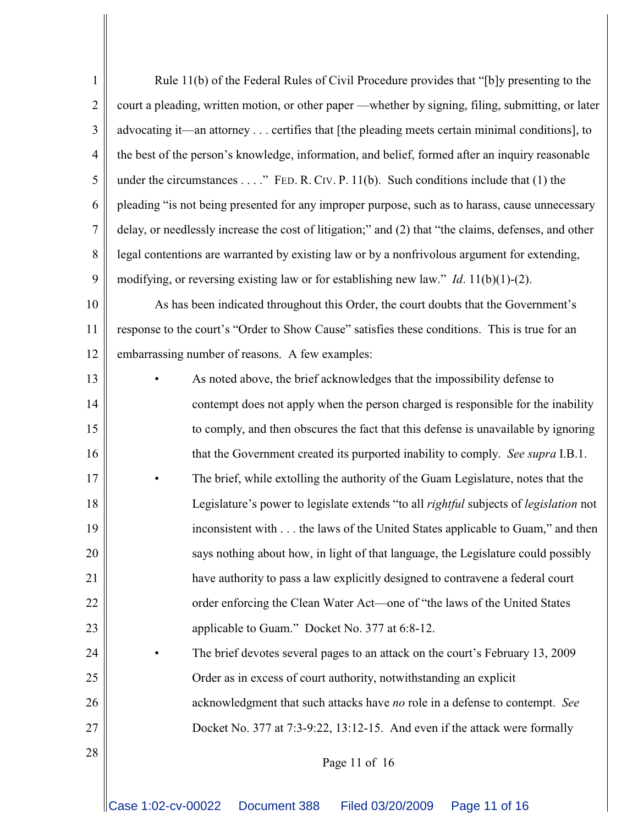| 1              | Rule 11(b) of the Federal Rules of Civil Procedure provides that "[b]y presenting to the             |  |  |  |  |
|----------------|------------------------------------------------------------------------------------------------------|--|--|--|--|
| $\mathbf{2}$   | court a pleading, written motion, or other paper —whether by signing, filing, submitting, or later   |  |  |  |  |
| 3              | advocating it—an attorney certifies that [the pleading meets certain minimal conditions], to         |  |  |  |  |
| 4              | the best of the person's knowledge, information, and belief, formed after an inquiry reasonable      |  |  |  |  |
| 5              | under the circumstances" FED. R. CIV. P. 11(b). Such conditions include that $(1)$ the               |  |  |  |  |
| 6              | pleading "is not being presented for any improper purpose, such as to harass, cause unnecessary      |  |  |  |  |
| $\overline{7}$ | delay, or needlessly increase the cost of litigation;" and (2) that "the claims, defenses, and other |  |  |  |  |
| 8              | legal contentions are warranted by existing law or by a nonfrivolous argument for extending,         |  |  |  |  |
| 9              | modifying, or reversing existing law or for establishing new law." <i>Id.</i> $11(b)(1)-(2)$ .       |  |  |  |  |
| 10             | As has been indicated throughout this Order, the court doubts that the Government's                  |  |  |  |  |
| 11             | response to the court's "Order to Show Cause" satisfies these conditions. This is true for an        |  |  |  |  |
| 12             | embarrassing number of reasons. A few examples:                                                      |  |  |  |  |
| 13             | As noted above, the brief acknowledges that the impossibility defense to                             |  |  |  |  |
| 14             | contempt does not apply when the person charged is responsible for the inability                     |  |  |  |  |
| 15             | to comply, and then obscures the fact that this defense is unavailable by ignoring                   |  |  |  |  |
| 16             | that the Government created its purported inability to comply. See supra I.B.1.                      |  |  |  |  |
| 17             | The brief, while extolling the authority of the Guam Legislature, notes that the                     |  |  |  |  |
| 18             | Legislature's power to legislate extends "to all rightful subjects of legislation not                |  |  |  |  |
| 19             | inconsistent with the laws of the United States applicable to Guam," and then                        |  |  |  |  |
| 20             | says nothing about how, in light of that language, the Legislature could possibly                    |  |  |  |  |
| 21             | have authority to pass a law explicitly designed to contravene a federal court                       |  |  |  |  |
| 22             | order enforcing the Clean Water Act—one of "the laws of the United States"                           |  |  |  |  |
| 23             | applicable to Guam." Docket No. 377 at 6:8-12.                                                       |  |  |  |  |
| 24             | The brief devotes several pages to an attack on the court's February 13, 2009<br>٠                   |  |  |  |  |
| 25             | Order as in excess of court authority, notwithstanding an explicit                                   |  |  |  |  |
| 26             | acknowledgment that such attacks have no role in a defense to contempt. See                          |  |  |  |  |
| 27             | Docket No. 377 at 7:3-9:22, 13:12-15. And even if the attack were formally                           |  |  |  |  |
| 28             | Page 11 of 16                                                                                        |  |  |  |  |
|                |                                                                                                      |  |  |  |  |
|                | Case 1:02-cv-00022<br>Document 388<br>Filed 03/20/2009<br>Page 11 of 16                              |  |  |  |  |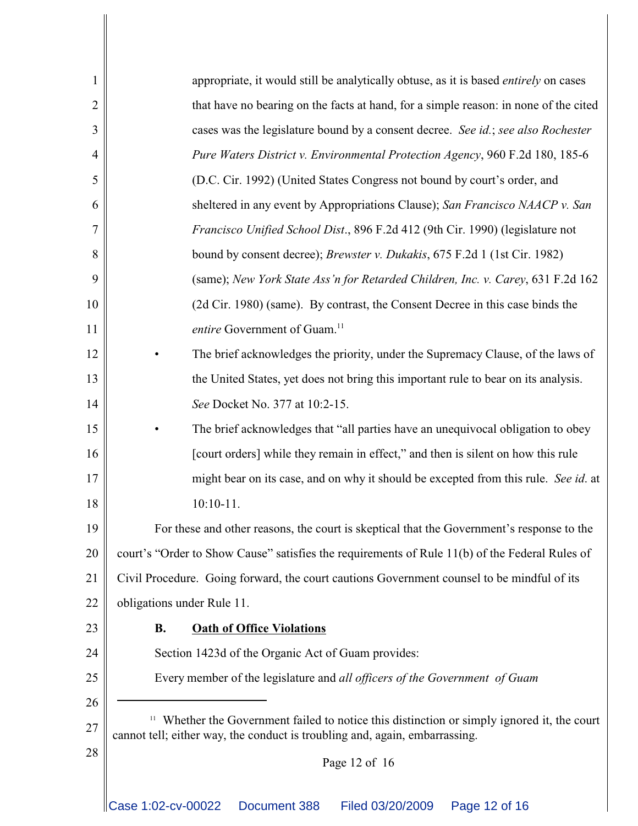| 1              | appropriate, it would still be analytically obtuse, as it is based <i>entirely</i> on cases                                                                                   |  |  |  |  |  |
|----------------|-------------------------------------------------------------------------------------------------------------------------------------------------------------------------------|--|--|--|--|--|
| $\overline{2}$ | that have no bearing on the facts at hand, for a simple reason: in none of the cited                                                                                          |  |  |  |  |  |
| 3              | cases was the legislature bound by a consent decree. See id.; see also Rochester                                                                                              |  |  |  |  |  |
| $\overline{4}$ | Pure Waters District v. Environmental Protection Agency, 960 F.2d 180, 185-6                                                                                                  |  |  |  |  |  |
| 5              | (D.C. Cir. 1992) (United States Congress not bound by court's order, and                                                                                                      |  |  |  |  |  |
| 6              | sheltered in any event by Appropriations Clause); San Francisco NAACP v. San                                                                                                  |  |  |  |  |  |
| 7              | Francisco Unified School Dist., 896 F.2d 412 (9th Cir. 1990) (legislature not                                                                                                 |  |  |  |  |  |
| 8              | bound by consent decree); <i>Brewster v. Dukakis</i> , 675 F.2d 1 (1st Cir. 1982)                                                                                             |  |  |  |  |  |
| 9              | (same); New York State Ass'n for Retarded Children, Inc. v. Carey, 631 F.2d 162                                                                                               |  |  |  |  |  |
| 10             | (2d Cir. 1980) (same). By contrast, the Consent Decree in this case binds the                                                                                                 |  |  |  |  |  |
| 11             | entire Government of Guam. <sup>11</sup>                                                                                                                                      |  |  |  |  |  |
| 12             | The brief acknowledges the priority, under the Supremacy Clause, of the laws of                                                                                               |  |  |  |  |  |
| 13             | the United States, yet does not bring this important rule to bear on its analysis.                                                                                            |  |  |  |  |  |
| 14             | See Docket No. 377 at 10:2-15.                                                                                                                                                |  |  |  |  |  |
| 15             | The brief acknowledges that "all parties have an unequivocal obligation to obey                                                                                               |  |  |  |  |  |
| 16             | [court orders] while they remain in effect," and then is silent on how this rule                                                                                              |  |  |  |  |  |
| 17             | might bear on its case, and on why it should be excepted from this rule. See id. at                                                                                           |  |  |  |  |  |
| 18             | $10:10-11.$                                                                                                                                                                   |  |  |  |  |  |
| 19             | For these and other reasons, the court is skeptical that the Government's response to the                                                                                     |  |  |  |  |  |
| 20             | court's "Order to Show Cause" satisfies the requirements of Rule 11(b) of the Federal Rules of                                                                                |  |  |  |  |  |
| 21             | Civil Procedure. Going forward, the court cautions Government counsel to be mindful of its                                                                                    |  |  |  |  |  |
| 22             | obligations under Rule 11.                                                                                                                                                    |  |  |  |  |  |
| 23             | <b>B.</b><br><b>Oath of Office Violations</b>                                                                                                                                 |  |  |  |  |  |
| 24             | Section 1423d of the Organic Act of Guam provides:                                                                                                                            |  |  |  |  |  |
| 25             | Every member of the legislature and all officers of the Government of Guam                                                                                                    |  |  |  |  |  |
| 26             |                                                                                                                                                                               |  |  |  |  |  |
| 27             | 11<br>Whether the Government failed to notice this distinction or simply ignored it, the court<br>cannot tell; either way, the conduct is troubling and, again, embarrassing. |  |  |  |  |  |
| 28             | Page 12 of 16                                                                                                                                                                 |  |  |  |  |  |
|                |                                                                                                                                                                               |  |  |  |  |  |
|                | Case 1:02-cv-00022<br>Document 388<br>Filed 03/20/2009<br>Page 12 of 16                                                                                                       |  |  |  |  |  |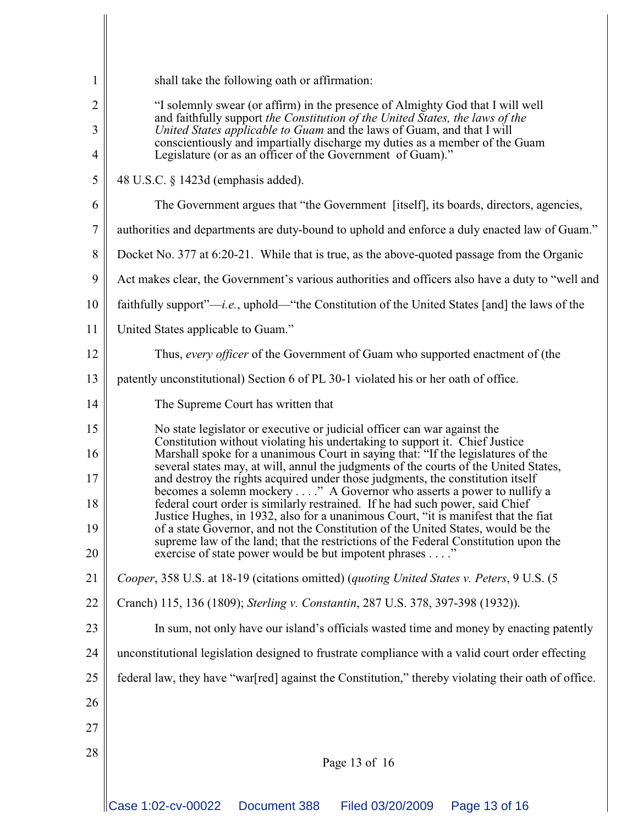| $\mathbf{1}$             | shall take the following oath or affirmation:                                                                                                                                                                                                                                                                                                                                          |  |  |  |  |  |
|--------------------------|----------------------------------------------------------------------------------------------------------------------------------------------------------------------------------------------------------------------------------------------------------------------------------------------------------------------------------------------------------------------------------------|--|--|--|--|--|
| $\overline{2}$<br>3<br>4 | "I solemnly swear (or affirm) in the presence of Almighty God that I will well<br>and faithfully support the Constitution of the United States, the laws of the<br>United States applicable to Guam and the laws of Guam, and that I will<br>conscientiously and impartially discharge my duties as a member of the Guam<br>Legislature (or as an officer of the Government of Guam)." |  |  |  |  |  |
| 5                        | 48 U.S.C. § 1423d (emphasis added).                                                                                                                                                                                                                                                                                                                                                    |  |  |  |  |  |
| 6                        | The Government argues that "the Government [itself], its boards, directors, agencies,                                                                                                                                                                                                                                                                                                  |  |  |  |  |  |
| $\boldsymbol{7}$         | authorities and departments are duty-bound to uphold and enforce a duly enacted law of Guam."                                                                                                                                                                                                                                                                                          |  |  |  |  |  |
| 8                        | Docket No. 377 at 6:20-21. While that is true, as the above-quoted passage from the Organic                                                                                                                                                                                                                                                                                            |  |  |  |  |  |
| 9                        | Act makes clear, the Government's various authorities and officers also have a duty to "well and                                                                                                                                                                                                                                                                                       |  |  |  |  |  |
| 10                       | faithfully support"— <i>i.e.</i> , uphold—"the Constitution of the United States [and] the laws of the                                                                                                                                                                                                                                                                                 |  |  |  |  |  |
| 11                       | United States applicable to Guam."                                                                                                                                                                                                                                                                                                                                                     |  |  |  |  |  |
| 12                       | Thus, every officer of the Government of Guam who supported enactment of (the                                                                                                                                                                                                                                                                                                          |  |  |  |  |  |
| 13                       | patently unconstitutional) Section 6 of PL 30-1 violated his or her oath of office.                                                                                                                                                                                                                                                                                                    |  |  |  |  |  |
| 14                       | The Supreme Court has written that                                                                                                                                                                                                                                                                                                                                                     |  |  |  |  |  |
| 15                       | No state legislator or executive or judicial officer can war against the<br>Constitution without violating his undertaking to support it. Chief Justice                                                                                                                                                                                                                                |  |  |  |  |  |
| 16<br>17                 | Marshall spoke for a unanimous Court in saying that: "If the legislatures of the<br>several states may, at will, annul the judgments of the courts of the United States,<br>and destroy the rights acquired under those judgments, the constitution itself                                                                                                                             |  |  |  |  |  |
| 18                       | becomes a solemn mockery " A Governor who asserts a power to nullify a<br>federal court order is similarly restrained. If he had such power, said Chief                                                                                                                                                                                                                                |  |  |  |  |  |
| 19                       | Justice Hughes, in 1932, also for a unanimous Court, "it is manifest that the fiat<br>of a state Governor, and not the Constitution of the United States, would be the                                                                                                                                                                                                                 |  |  |  |  |  |
| 20                       | supreme law of the land; that the restrictions of the Federal Constitution upon the<br>exercise of state power would be but impotent phrases"                                                                                                                                                                                                                                          |  |  |  |  |  |
| 21                       | Cooper, 358 U.S. at 18-19 (citations omitted) (quoting United States v. Peters, 9 U.S. (5                                                                                                                                                                                                                                                                                              |  |  |  |  |  |
| 22                       | Cranch) 115, 136 (1809); Sterling v. Constantin, 287 U.S. 378, 397-398 (1932)).                                                                                                                                                                                                                                                                                                        |  |  |  |  |  |
| 23                       | In sum, not only have our island's officials wasted time and money by enacting patently                                                                                                                                                                                                                                                                                                |  |  |  |  |  |
| 24                       | unconstitutional legislation designed to frustrate compliance with a valid court order effecting                                                                                                                                                                                                                                                                                       |  |  |  |  |  |
| 25                       | federal law, they have "war[red] against the Constitution," thereby violating their oath of office.                                                                                                                                                                                                                                                                                    |  |  |  |  |  |
| 26                       |                                                                                                                                                                                                                                                                                                                                                                                        |  |  |  |  |  |
| 27                       |                                                                                                                                                                                                                                                                                                                                                                                        |  |  |  |  |  |
| 28                       | Page 13 of 16                                                                                                                                                                                                                                                                                                                                                                          |  |  |  |  |  |
|                          |                                                                                                                                                                                                                                                                                                                                                                                        |  |  |  |  |  |
|                          | Case 1:02-cv-00022<br>Page 13 of 16<br>Document 388<br>Filed 03/20/2009                                                                                                                                                                                                                                                                                                                |  |  |  |  |  |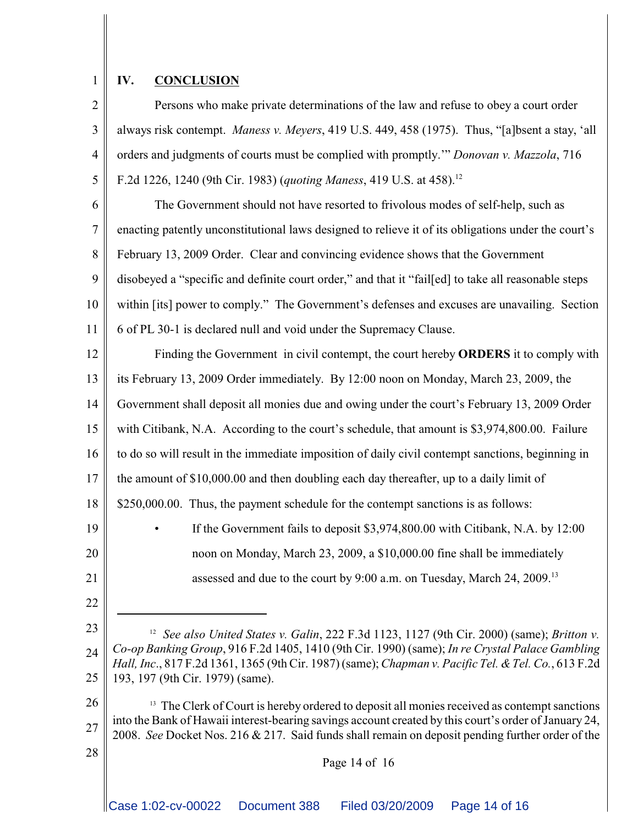### **IV. CONCLUSION**

1

21

22

28

2 3 4 5 Persons who make private determinations of the law and refuse to obey a court order always risk contempt. *Maness v. Meyers*, 419 U.S. 449, 458 (1975). Thus, "[a]bsent a stay, 'all orders and judgments of courts must be complied with promptly.'" *Donovan v. Mazzola*, 716 F.2d 1226, 1240 (9th Cir. 1983) (*quoting Maness*, 419 U.S. at 458).<sup>12</sup>

6 7 8 9 10 11 The Government should not have resorted to frivolous modes of self-help, such as enacting patently unconstitutional laws designed to relieve it of its obligations under the court's February 13, 2009 Order. Clear and convincing evidence shows that the Government disobeyed a "specific and definite court order," and that it "fail[ed] to take all reasonable steps within [its] power to comply." The Government's defenses and excuses are unavailing. Section 6 of PL 30-1 is declared null and void under the Supremacy Clause.

12 13 14 15 16 17 18 19 20 Finding the Government in civil contempt, the court hereby **ORDERS** it to comply with its February 13, 2009 Order immediately. By 12:00 noon on Monday, March 23, 2009, the Government shall deposit all monies due and owing under the court's February 13, 2009 Order with Citibank, N.A. According to the court's schedule, that amount is \$3,974,800.00. Failure to do so will result in the immediate imposition of daily civil contempt sanctions, beginning in the amount of \$10,000.00 and then doubling each day thereafter, up to a daily limit of \$250,000.00. Thus, the payment schedule for the contempt sanctions is as follows: If the Government fails to deposit \$3,974,800.00 with Citibank, N.A. by 12:00 noon on Monday, March 23, 2009, a \$10,000.00 fine shall be immediately

assessed and due to the court by 9:00 a.m. on Tuesday, March 24, 2009.<sup>13</sup>

23 24 25 *See also United States v. Galin*, 222 F.3d 1123, 1127 (9th Cir. 2000) (same); *Britton v.* <sup>12</sup> *Co-op Banking Group*, 916 F.2d 1405, 1410 (9th Cir. 1990) (same); *In re Crystal Palace Gambling Hall, Inc*., 817 F.2d 1361, 1365 (9th Cir. 1987) (same); *Chapman v. Pacific Tel. &Tel. Co.*, 613 F.2d 193, 197 (9th Cir. 1979) (same).

26 27  $<sup>13</sup>$  The Clerk of Court is hereby ordered to deposit all monies received as contempt sanctions</sup> into the Bank of Hawaii interest-bearing savings account created by this court's order of January 24, 2008. *See* Docket Nos. 216 & 217. Said funds shall remain on deposit pending further order of the

#### Page 14 of 16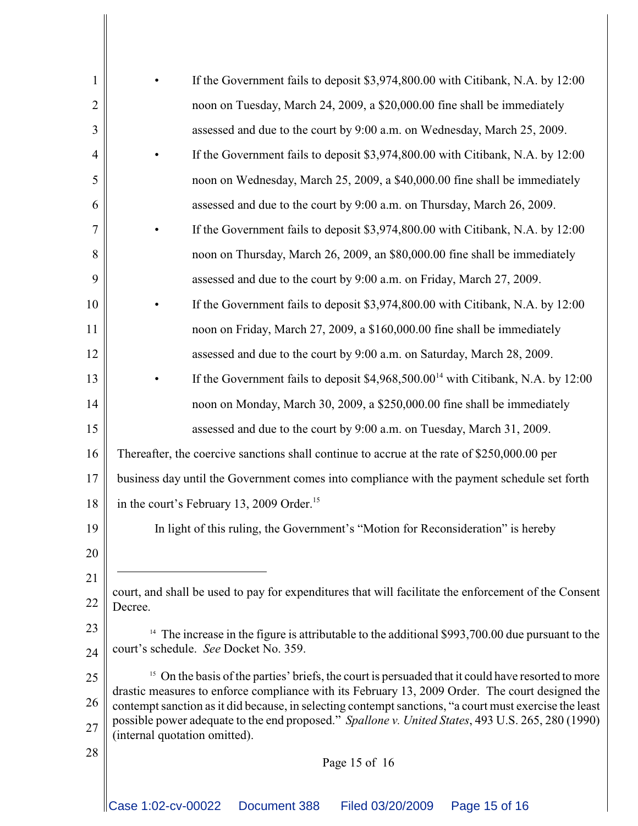| $\mathbf{1}$   | If the Government fails to deposit \$3,974,800.00 with Citibank, N.A. by 12:00                                                                                                                            |              |                                                                         |                                                                                |  |  |  |
|----------------|-----------------------------------------------------------------------------------------------------------------------------------------------------------------------------------------------------------|--------------|-------------------------------------------------------------------------|--------------------------------------------------------------------------------|--|--|--|
| $\overline{2}$ | noon on Tuesday, March 24, 2009, a \$20,000.00 fine shall be immediately                                                                                                                                  |              |                                                                         |                                                                                |  |  |  |
| 3              | assessed and due to the court by 9:00 a.m. on Wednesday, March 25, 2009.                                                                                                                                  |              |                                                                         |                                                                                |  |  |  |
| $\overline{4}$ | If the Government fails to deposit \$3,974,800.00 with Citibank, N.A. by 12:00                                                                                                                            |              |                                                                         |                                                                                |  |  |  |
| 5              | noon on Wednesday, March 25, 2009, a \$40,000.00 fine shall be immediately                                                                                                                                |              |                                                                         |                                                                                |  |  |  |
| 6              | assessed and due to the court by 9:00 a.m. on Thursday, March 26, 2009.                                                                                                                                   |              |                                                                         |                                                                                |  |  |  |
| 7              | If the Government fails to deposit \$3,974,800.00 with Citibank, N.A. by 12:00                                                                                                                            |              |                                                                         |                                                                                |  |  |  |
| 8              | noon on Thursday, March 26, 2009, an \$80,000.00 fine shall be immediately                                                                                                                                |              |                                                                         |                                                                                |  |  |  |
| 9              | assessed and due to the court by 9:00 a.m. on Friday, March 27, 2009.                                                                                                                                     |              |                                                                         |                                                                                |  |  |  |
| 10             |                                                                                                                                                                                                           |              |                                                                         | If the Government fails to deposit \$3,974,800.00 with Citibank, N.A. by 12:00 |  |  |  |
| 11             | noon on Friday, March 27, 2009, a \$160,000.00 fine shall be immediately                                                                                                                                  |              |                                                                         |                                                                                |  |  |  |
| 12             |                                                                                                                                                                                                           |              | assessed and due to the court by 9:00 a.m. on Saturday, March 28, 2009. |                                                                                |  |  |  |
| 13             | If the Government fails to deposit $$4,968,500.0014$ with Citibank, N.A. by 12:00                                                                                                                         |              |                                                                         |                                                                                |  |  |  |
| 14             | noon on Monday, March 30, 2009, a \$250,000.00 fine shall be immediately                                                                                                                                  |              |                                                                         |                                                                                |  |  |  |
| 15             |                                                                                                                                                                                                           |              | assessed and due to the court by 9:00 a.m. on Tuesday, March 31, 2009.  |                                                                                |  |  |  |
| 16             | Thereafter, the coercive sanctions shall continue to accrue at the rate of \$250,000.00 per                                                                                                               |              |                                                                         |                                                                                |  |  |  |
| 17             | business day until the Government comes into compliance with the payment schedule set forth                                                                                                               |              |                                                                         |                                                                                |  |  |  |
| 18             | in the court's February 13, 2009 Order. <sup>15</sup>                                                                                                                                                     |              |                                                                         |                                                                                |  |  |  |
| 19             | In light of this ruling, the Government's "Motion for Reconsideration" is hereby                                                                                                                          |              |                                                                         |                                                                                |  |  |  |
| 20             |                                                                                                                                                                                                           |              |                                                                         |                                                                                |  |  |  |
| 21             |                                                                                                                                                                                                           |              |                                                                         |                                                                                |  |  |  |
| 22             | court, and shall be used to pay for expenditures that will facilitate the enforcement of the Consent<br>Decree.                                                                                           |              |                                                                         |                                                                                |  |  |  |
| 23             | <sup>14</sup> The increase in the figure is attributable to the additional \$993,700.00 due pursuant to the                                                                                               |              |                                                                         |                                                                                |  |  |  |
| 24             | court's schedule. See Docket No. 359.                                                                                                                                                                     |              |                                                                         |                                                                                |  |  |  |
| 25             | On the basis of the parties' briefs, the court is persuaded that it could have resorted to more<br>15                                                                                                     |              |                                                                         |                                                                                |  |  |  |
| 26             | drastic measures to enforce compliance with its February 13, 2009 Order. The court designed the<br>contempt sanction as it did because, in selecting contempt sanctions, "a court must exercise the least |              |                                                                         |                                                                                |  |  |  |
| 27             | possible power adequate to the end proposed." Spallone v. United States, 493 U.S. 265, 280 (1990)<br>(internal quotation omitted).                                                                        |              |                                                                         |                                                                                |  |  |  |
| 28             | Page 15 of 16                                                                                                                                                                                             |              |                                                                         |                                                                                |  |  |  |
|                |                                                                                                                                                                                                           |              |                                                                         |                                                                                |  |  |  |
|                | Case 1:02-cv-00022                                                                                                                                                                                        | Document 388 | Filed 03/20/2009                                                        | Page 15 of 16                                                                  |  |  |  |